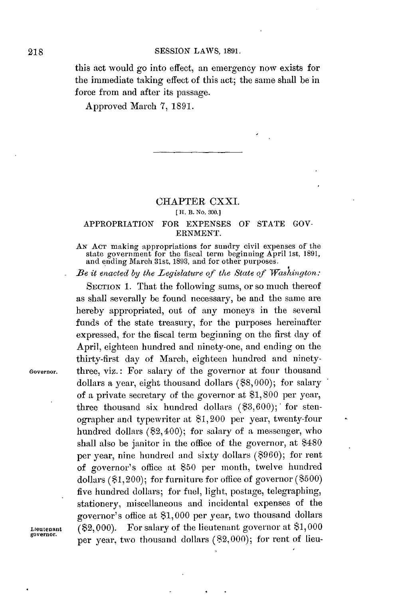this act would go into effect, an emergency now exists for the immediate taking effect of this act; the same shall be in force from and after its passage.

Approved March **7, 1891.**

## **CHAPTER** CXXI.

## **( H. B. No. 300.]**

## APPROPRIATION FOR **EXPENSES** OF **STATE GOV-ERNMENT.**

**AN ACT** making appropriations for sundry **civil** expenses of the state government for the fiscal term beginning April 1st, **1891,** and ending March 31st, **1893,** and for other purposes.

*Be it enacted by the Legislature qf the State of Washington:*

SECTION 1. That the following sums, or so much thereof as shall severally be found necessary, be and the same are hereby appropriated, out of any moneys in the several funds of the state treasury, for the purposes hereinafter expressed, for the fiscal term beginning on the first **day** of April, eighteen hundred and ninety-one, and ending on the thirty-first day of March, eighteen hundred and ninety-**Governor.** three, viz.: For salary of the governor at four thousand dollars a year, eight thousand dollars **(\$8,000);** for salary of a private secretary of the governor at **\$1,800** per year, three thousand six hundred dollars **(\$3,600);'** for stenographer and typewriter at \$1,200 per year, twenty-four hundred dollars (\$2,400); for salary of a messenger, who shall also be janitor in the office of the governor, at \$480 per year, nine hundred and sixty dollars **(\$960);** for rent of governor's office at **\$50** per month, twelve hundred dollars (\$1,200); for furniture for office of governor **(\$500)** five hundred dollars; for fuel, light, postage, telegraphing, stationery, miscellaneous and incidental expenses of the governor's office at **\$1,000** per year, two thousand dollars Lieutenant **(\$2,000).** For salary of the lieutenant governor at **\$1,000** per year, two thousand dollars (82,000); for rent of lieu-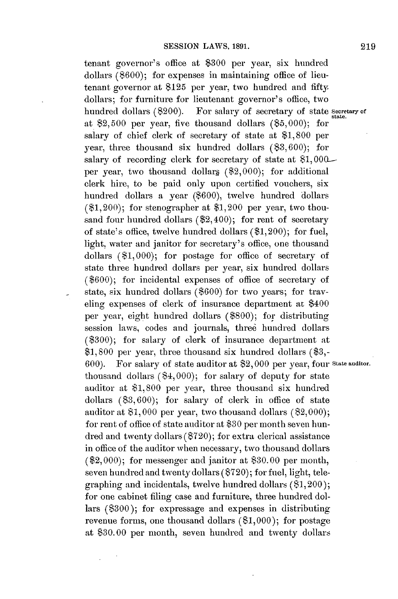tenant governor's office at **\$300** per year, six hundred dollars (\$600); for expenses in maintaining office of lieutenant governor at \$125 per year, two hundred and fifty dollars; for furniture for lieutenant governor's office, two hundred dollars (\$200). For salary of *secretary* of *state secretary* of *state*. at \$2,500 per year, five thousand dollars **(85,000);** for salary of chief clerk of secretary of state at **\$1,800** per year, three thousand six hundred dollars **(83,600);** for salary of recording clerk for secretary of state at **81, 000** per year, two thousand dollars  $(\$2,000)$ ; for additional clerk hire, to be paid only upon certified vouchers, six hundred dollars a year **(\$600),** twelve hundred dollars  $(1,200)$ ; for stenographer at \$1,200 per year, two thousand four hundred dollars (\$2,400); for rent of secretary of state's office, twelve hundred dollars (\$1,200); for fuel, light, water and janitor for secretary's office, one thousand dollars **(81,000);** for postage for office of secretary of state three hundred dollars per year, six hundred dollars **(\$600);** for incidental expenses of office of secretary of state, six hundred dollars **(\$600)** for two years; for traveling expenses of clerk of insurance department at \$400 per year, eight hundred dollars **(\$800);** for distributing session laws, codes and journals, three hundred dollars **(\$300);** for salary of clerk of insurance department at **\$1,800** per year, three thousand six hundred dollars **(\$3,- 600).** For salary of state auditor at **\$2,000** per year, four **State auditor.** thousand dollars (\$4, **000);** for salary of deputy for state auditor at **\$1,800** per year, three thousand six hundred dollars **(\$3, 600);** for salary of clerk in office of state auditor at **\$1,000** per year, two thousand dollars **(82,000);** for rent of office of state auditor at **\$30** per month seven hundred and twenty dollars **(\$720);** for extra clerical assistance in office of the auditor when necessary, two thousand dollars (\$2,000); for messenger and janitor at **\$30.00** per month, seven hundred and twenty dollars **(\$720);** for fuel, light, telegraphing and incidentals, twelve hundred dollars (81,200); for one cabinet filing case and furniture, three hundred dollars **(\$300);** for expressage and expenses in distributing revenue forms, one thousand dollars **(81,000);** for postage at **\$30.00** per month, seven hundred and twenty dollars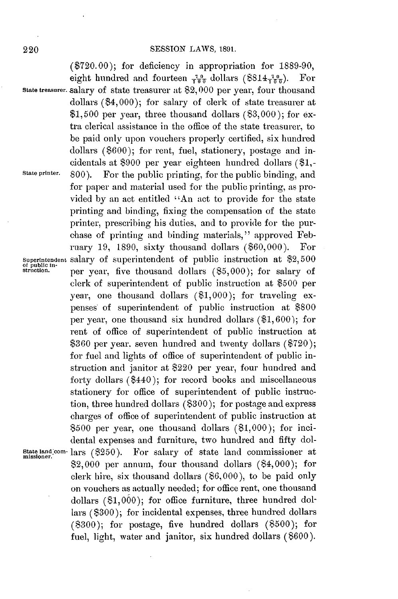**(\$720.00);** for deficiency in appropriation for **1889-90,** eight hundred and fourteen  $\frac{70}{100}$  dollars (\$814 $\frac{70}{100}$ ). For **state treasurer.** salary of state treasurer at \$2, **000** per year, four thousand dollars (\$4,000); for salary of clerk of state treasurer at **\$1,500** per year, three thousand dollars **(\$3,000);** for extra clerical assistance in the office of the state treasurer, to be paid only upon vouchers properly certified, six hundred dollars **(\$600);** for rent, fuel, stationery, postage and incidentals at **\$900** per year eighteen hundred dollars **(\$1,- State printer. 800).** For the public printing, for the public binding, and for paper and material used for the public printing, as provided **by** an act entitled "An act to provide for the state printing and binding, fixing the compensation of the state printer, prescribing his duties, and to provide for the purchase of printing and binding materials," approved February **19, 1890,** sixty thousand dollars **(\$60,000).** For Superintendent Salary of superintendent of public instruction at \$2,500 of public in-<br>struction. Per year, five thousand dollars (\$5,000); for salary of **struction.** per year, five thousand dollars **(\$5,000);** for salary of clerk of superintendent of public instruction at **\$500** per year, one thousand dollars **(\$1,000);** for traveling expenses of superintendent of public instruction at **\$800** per year, one thousand six hundred dollars **(\$1, 600);** for rent of office of superintendent of public instruction at **\$360** per year. seven hundred and twenty dollars **(\$720);** for fuel and lights of office of superintendent of public instruction and janitor at \$220 per year, four hundred and forty dollars (\$440); for record books and miscellaneous stationery for office of superintendent of public instruction, three hundred dollars **(\$300);** for postage and express charges of office of superintendent of public instruction at **\$500** per year, one thousand dollars **(81,000);** for incidental expenses and furniture, two hundred and fifty dol-**State land corn-** lars (\$250). For salary of state land commissioner at **missioner.** \$2,000 per annum, four thousand dollars (\$4,000); for clerk hire, six thousand dollars **(\$6,000),** to be paid only on vouchers as actually needed; for office rent, one thousand dollars **(\$1,000);** for office furniture, three hundred dollars **(\$300);** for incidental expenses, three hundred dollars **(8300);** for postage, five hundred dollars **(\$500);** for fuel, light, water and janitor, six hundred dollars **(\$600).**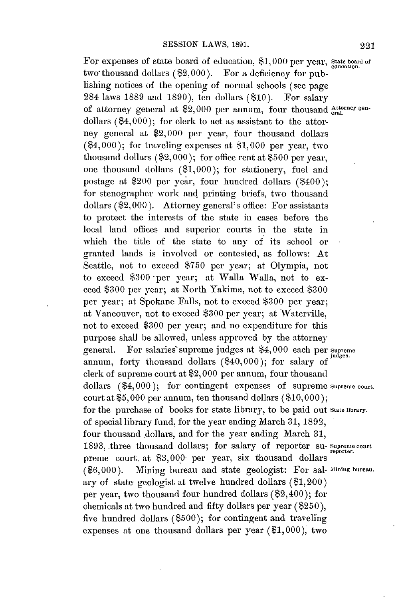For expenses of state board of education, \$1,000 per year, state board of two thousand dollars (\$2,000). For a deficiency for publishing notices of the opening of normal schools (see page 284 laws **1889** and **1890),** ten dollars **(\$10).** For salary of attorney general at \$2,000 per annum, four thousand  $_{\text{eral.}}^{\text{attorney gen-}}$ dollars  $(84,000)$ ; for clerk to act as assistant to the attorney general at \$2,000 per year, four thousand dollars (\$4,000); for traveling expenses at **\$1,000** per year, two thousand dollars **(\$2,000);** for office rent at **\$500** per year, one thousand dollars **(\$1,000);** for stationery, fuel and postage at \$200 per year, four hundred dollars (\$400); for stenographer work and printing briefs, two thousand dollars (\$2,000). Attorney general's office: For assistants to protect the interests of the state in cases before the local land offices and superior courts in the state in which the title of the state to any of its school or granted lands is involved or contested, as follows: At Seattle, not to exceed **\$750** per year; at Olympia, not to exceed **\$300** -per year; at Walla Walla, not to exceed **\$300** per year; at North Yakima, not to exceed **\$300** per year; at Spokane Falls, not to exceed **\$300** per year; **at** Vancouver, not to exceed **\$300** per year; at WaterviUe, not to exceed **\$300** per year; and no expenditure for this purpose shall be allowed, unless approved **by** the attorney purpose shall be allowed, we say that the salaries' supreme judges at \$4,000 each per supreme annum, forty thousand dollars (\$40,000); for salary of clerk of supreme court at \$2, **000** per annum, four thousand dollars (\$4,000); for contingent expenses of supreme supreme court. court at **\$5,000** per annum, ten thousand dollars **(\$10,000);** for the purchase of books for state library, to be paid out State **library.** of special library fund, for the year ending March **31, 1892,** four thousand dollars, and for the year ending March **31,** 1893, three thousand dollars; for salary of reporter su- Supreme court preme court. at \$3,000 per year, six thousand dollars **(\$6,000).** Mining bureau and state geologist: For sal- **Mining bureau.** ary of state geologist at twelve hundred dollars (81,200) per year, two thousand four hundred dollars (\$2,400); for chemicals at two hundred and fifty dollars per year **(\$250),** five hundred dollars **(\$500);** for contingent and traveling expenses at one thousand dollars per year **(\$1,000),** two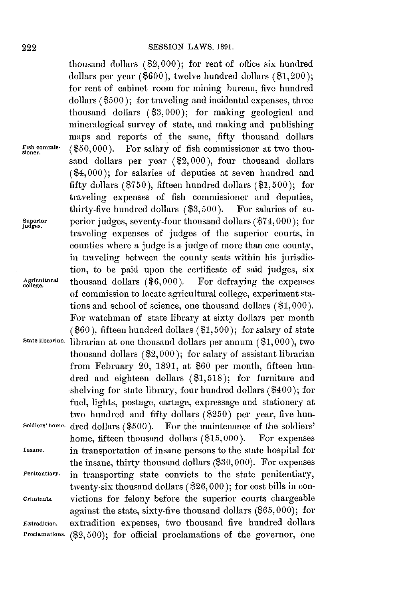thousand dollars (\$2,000); for rent of office six hundred dollars per year **(\$600),** twelve hundred dollars (\$1,200); for rent of cabinet room for mining bureau, five hundred dollars **(\$500);** for traveling and incidental expenses, three thousand dollars **(\$3,000);** for making geological and mineralogical survey of state, and making and publishing maps and reports of the same, fifty thousand dollars F<sub>1sh</sub> commis- (\$50,000). For salary of fish commissioner at two thousand dollars per year (\$2,000), four thousand dollars (\$4,000); for salaries of deputies at seven hundred and fifty dollars **(\$750),** fifteen hundred dollars **(\$1,500);** for traveling expenses of fish commissioner and deputies, thirty-five hundred dollars **(\$3,500).** For salaries of su**udpgerir** perior judges, seventy-four thousand dollars **(\$74,000);** for traveling expenses of judges of the superior courts, in counties where a judge is a judge of more than one county, in traveling between the county seats within his jurisdiction, to be paid upon the certificate of said judges, six **Agricultural** thousand dollars **(\$6,000).** For defraying the expenses **college. i** of commission to locate agricultural college, experiment stations and school of science, one thousand dollars **(\$1,000).** For watchman of state library at sixty dollars per month **(\$60),** fifteen hundred dollars **(\$1, 500);** for salary of state **state librarian** librarian at one thousand dollars per annum **(\$1,000),** two thousand dollars (\$2,000); for salary of assistant librarian from February 20, **1891,** at **\$60** per month, fifteen hundred and eighteen dollars **(\$1,518);** for furniture and shelving for state library, four hundred dollars (\$400); for fuel, lights, postage, cartage, expressage and stationery at two hundred and fifty dollars (\$250) per year, five hun-**Soldiers'home.** dred dollars **(\$500).** For the maintenance of the soldiers' home, fifteen thousand dollars **(\$15,000).** For expenses **Insane.** in transportation of insane persons to the state hospital for the insane, thirty thousand dollars **(\$30, 000).** For expenses **Penitentiary.** in transporting state convicts to the state penitentiary, twenty-six thousand dollars **(\$26,000);** for cost bills in con**criminals.** victions for felony before the superior courts chargeable against the state, sixty-five thousand dollars **(\$65,000);** for **Extradition.** extradition expenses, two thousand five hundred dollars **Proclamations. (\$2,500);** for official proclamations of the governor, one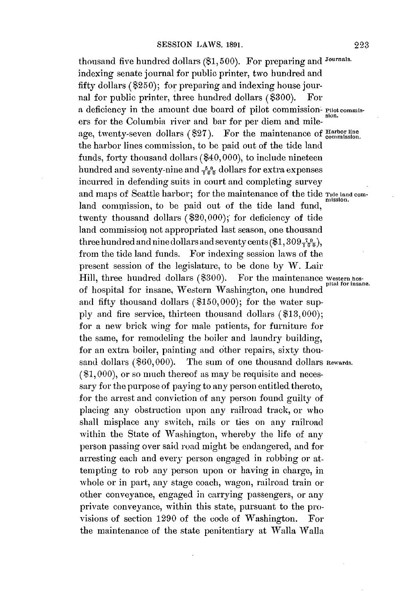thousand five hundred dollars **(\$1, 500).** For preparing and Journals. indexing senate journal for public printer, two hundred and fifty dollars **(\$250);** for preparing and indexing house journal for public printer, three hundred dollars **(\$300).** For a deficiency in the amount due board of pilot commission- Pilot commisers for the Columbia river and bar for per diem and mileage, twenty-seven dollars (\$27). For the maintenance of **Harbor** line the harbor lines commission, to be paid out of the tide land funds, forty thousand dollars (\$40, **000),** to include nineteen hundred and seventy-nine and  $\frac{50}{100}$  dollars for extra expenses incurred in defending suits in court and completing survey and maps of Seattle harbor; for the maintenance of the tide Tide land comland commission, to be paid out of the tide land fund, twenty thousand dollars (\$20,000); for deficiency of tide land commission not appropriated last season, one thousand three hundred and nine dollars and seventy cents  $(\$1,309<sub>T00</sub>$ , from the tide land funds. For indexing session laws of the present session of the legislature, to be done by W. Lair<br>Hill, three hundred dollars (\$300). For the maintenance western hos-<br>pital for insane. Hill, three hundred dollars (\$300). of hospital for insane, Western Washington, one hundred **<sup>p</sup>** and fifty thousand dollars **(\$150,000);** for the water sup**ply** and fire service, thirteen thousand dollars **(\$13,000);** for a new brick wing for male patients, for furniture for the same, for remodeling the boiler and laundry building, for an extra boiler, painting and other repairs, sixty thousand dollars (\$60,000). The sum of one thousand dollars Rewards. **(\$1,000),** or so much thereof as may be requisite and necessary for the purpose of paying to any person entitled thereto, for the arrest and conviction of any person found guilty of placing any obstruction upon any railroad track, or who shall misplace any switch, rails or ties on any railroad within the State of Washington, whereby the life of any person passing over said road might be endangered, and for arresting each and every person engaged in robbing or attempting to rob any person upon or having in charge, in whole or in part, any stage coach, wagon, railroad train or other conveyance, engaged in carrying passengers, or any private conveyance, within this state, pursuant to the provisions of section **1290** of the code of Washington. For the maintenance of the state penitentiary at Walla Walla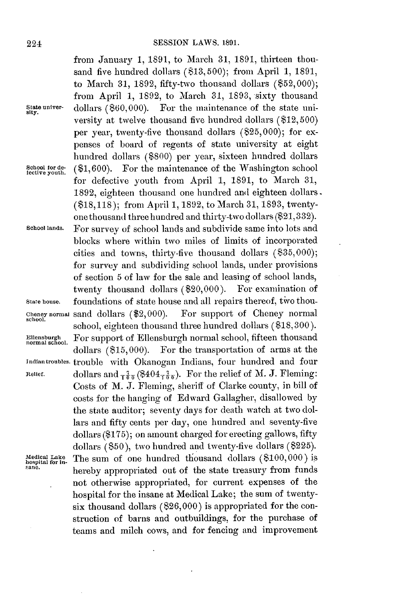from January **1, 1891,** to March **31, 1891,** thirteen thousand five hundred dollars **(813,500);** from April **1, 1891,** to March **31, 1892,** fifty-two thousand dollars (\$52,000); from April **1, 1892,** to March **31, 1893,** sixty thousand State univer- dollars (\$60,000). For the maintenance of the state university at twelve thousand five hundred dollars **(\$12, 500)** per year, twenty-five thousand dollars (\$25,000); for expenses of board of regents of state university at eight hundred dollars **(\$800)** per year, sixteen hundred dollars School for de- (\$1,600). For the maintenance of the Washington school for defective youth from April **1, 1891,** to March **31, 1892,** eighteen thousand one hundred and eighteen dollars. **(\$18,118);** from April **1, 1892,** to March **31, 1893,** twentyone thousand three hundred and thirty-two dollars **(\$21,332). School lands.** For survey of school lands and subdivide same into lots and blocks where within two miles of limits of incorporated cities and towns, thirty-five thousand dollars **(\$35,000);** for survey and subdividing school lands, under provisions of section 5 of law for the sale and leasing of school lands,<br>twenty thousand dollars (\$20,000). For examination of twenty thousand dollars  $(\$20,000)$ . **State house.** foundations of state house and all repairs thereof, tivo thou-**Cheney normal** sand dollars (\$2,000). For support of Cheney normal school. school, eighteen thousand three hundred dollars **(\$18,300).** Ellensburgh **For support of Ellensburgh normal school**, fifteen thousand dollars (\$15,000). For the transportation of arms at the For the transportation of arms at the **Indian troubles,** trouble with Okanogan Indians, four hundred and four **Relief.**  $\qquad$  dollars and  $_{70}^{7}$  (\$404 $_{70}^{7}$ ). For the relief of M. J. Fleming: Costs of M. **J.** Fleming, sheriff of Clarke county, in bill of costs for the hanging of Edward Gallagher, disallowed **by** the state auditor; seventy days for death watch at two dollars and fifty cents per day, one hundred and seventy-five dollars **(\$175);** on amount charged for erecting gallows, fifty dollars **(850),** two hundred and twenty-five dollars **(8225). Medical Lake** The sum of one hundred thousand dollars **(8100,000)** is **hospital for in-** sane. hereby appropriated out of the state treasury from funds not otherwise appropriated, for current expenses of the hospital for the insane at Medical Lake; the sum of twentysix thousand dollars **(\$26,000)** is appropriated for the construction of barns and outbuildings, for the purchase of teams and milch cows, and for fencing and improvement